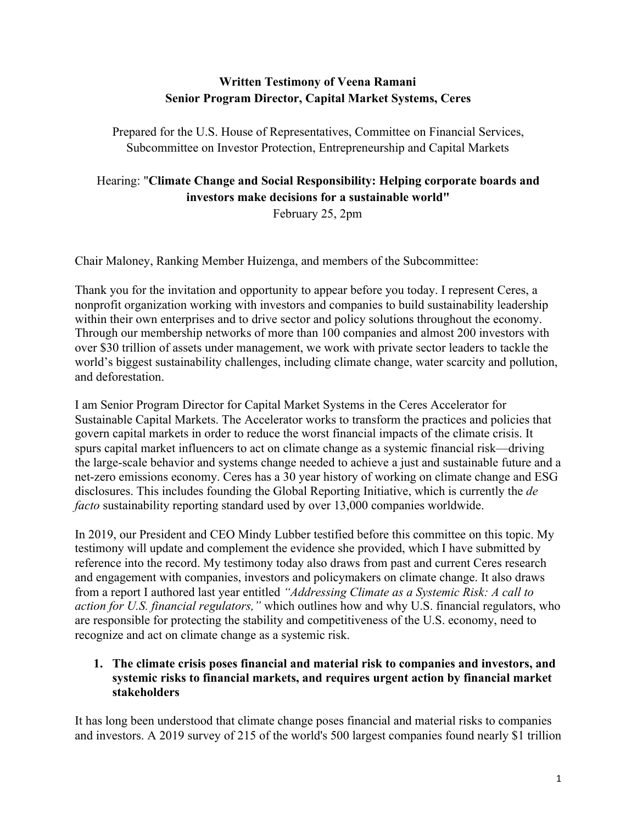# **Written Testimony of Veena Ramani Senior Program Director, Capital Market Systems, Ceres**

Prepared for the U.S. House of Representatives, Committee on Financial Services, Subcommittee on Investor Protection, Entrepreneurship and Capital Markets

# Hearing: "**[Climate Change and Social Responsibility:](https://financialservices.house.gov/calendar/eventsingle.aspx?EventID=407109) Helping corporate boards and investors make decisions for a sustainable world"**

February 25, 2pm

Chair Maloney, Ranking Member Huizenga, and members of the Subcommittee:

Thank you for the invitation and opportunity to appear before you today. I represent Ceres, a nonprofit organization working with investors and companies to build sustainability leadership within their own enterprises and to drive sector and policy solutions throughout the economy. Through our membership networks of more than 100 companies and almost 200 investors with over \$30 trillion of assets under management, we work with private sector leaders to tackle the world's biggest sustainability challenges, including climate change, water scarcity and pollution, and deforestation.

I am Senior Program Director for Capital Market Systems in the Ceres Accelerator for Sustainable Capital Markets. The Accelerator works to transform the practices and policies that govern capital markets in order to reduce the worst financial impacts of the climate crisis. It spurs capital market influencers to act on climate change as a systemic financial risk—driving the large-scale behavior and systems change needed to achieve a just and sustainable future and a net-zero emissions economy. Ceres has a 30 year history of working on climate change and ESG disclosures. This includes founding the Global Reporting Initiative, which is currently the *de facto* sustainability reporting standard used by over 13,000 companies worldwide.

In 2019, our President and CEO Mindy Lubber testified before this committee on this topic. My testimony will update and complement the evidence she provided, which I have submitted by reference into the record. My testimony today also draws from past and current Ceres research and engagement with companies, investors and policymakers on climate change. It also draws from a report I authored last year entitled *"Addressing Climate as a Systemic Risk: A call to action for U.S. financial regulators,"* which outlines how and why U.S. financial regulators, who are responsible for protecting the stability and competitiveness of the U.S. economy, need to recognize and act on climate change as a systemic risk.

## **1. The climate crisis poses financial and material risk to companies and investors, and systemic risks to financial markets, and requires urgent action by financial market stakeholders**

It has long been understood that climate change poses financial and material risks to companies and investors. A 2019 survey of 215 of the world's 500 largest companies found nearly \$1 trillion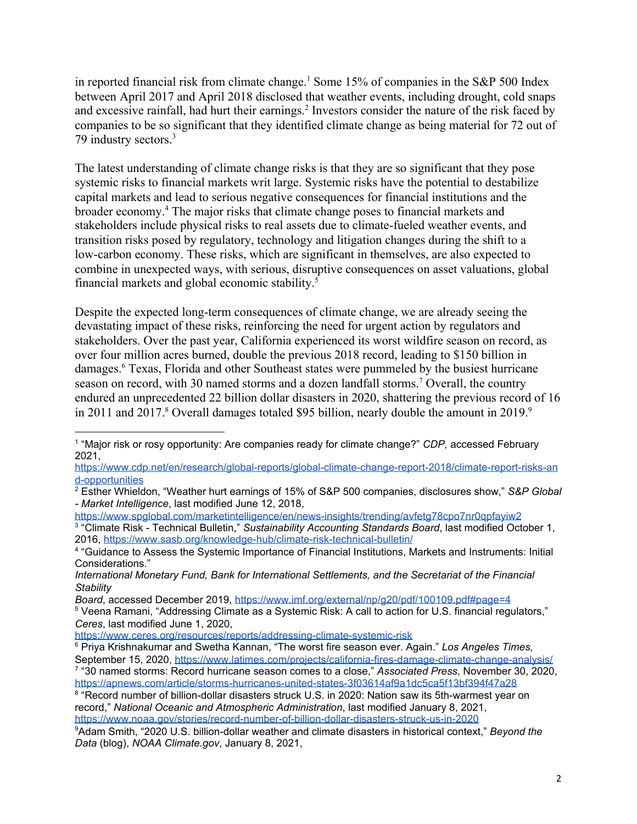in reported financial risk from climate change.<sup>1</sup> Some 15% of companies in the S&P 500 Index between April 2017 and April 2018 disclosed that weather events, including drought, cold snaps and excessive rainfall, had hurt their earnings.<sup>2</sup> Investors consider the nature of the risk faced by companies to be so significant that they identified climate change as being material for 72 out of 79 industry sectors.<sup>3</sup>

The latest understanding of climate change risks is that they are so significant that they pose systemic risks to financial markets writ large. Systemic risks have the potential to destabilize capital markets and lead to serious negative consequences for financial institutions and the broader economy.<sup>4</sup> The major risks that climate change poses to financial markets and stakeholders include physical risks to real assets due to climate-fueled weather events, and transition risks posed by regulatory, technology and litigation changes during the shift to a low-carbon economy. These risks, which are significant in themselves, are also expected to combine in unexpected ways, with serious, disruptive consequences on asset valuations, global financial markets and global economic stability.<sup>5</sup>

Despite the expected long-term consequences of climate change, we are already seeing the devastating impact of these risks, reinforcing the need for urgent action by regulators and stakeholders. Over the past year, California experienced its worst wildfire season on record, as over four million acres burned, double the previous 2018 record, leading to \$150 billion in damages.<sup>6</sup> Texas, Florida and other Southeast states were pummeled by the busiest hurricane season on record, with 30 named storms and a dozen landfall storms.<sup>7</sup> Overall, the country endured an unprecedented 22 billion dollar disasters in 2020, shattering the previous record of 16 in 2011 and 2017.<sup>8</sup> Overall damages totaled \$95 billion, nearly double the amount in 2019.<sup>9</sup>

<https://www.spglobal.com/marketintelligence/en/news-insights/trending/avfetg78cpo7nr0qpfayiw2> 3 "Climate Risk - Technical Bulletin," *Sustainability Accounting Standards Board*, last modified October 1, 2016, <https://www.sasb.org/knowledge-hub/climate-risk-technical-bulletin/>

<sup>1</sup> "Major risk or rosy opportunity: Are companies ready for climate change?" *CDP,* accessed February 2021,

[https://www.cdp.net/en/research/global-reports/global-climate-change-report-2018/climate-report-risks-an](https://www.cdp.net/en/research/global-reports/global-climate-change-report-2018/climate-report-risks-and-opportunities) [d-opportunities](https://www.cdp.net/en/research/global-reports/global-climate-change-report-2018/climate-report-risks-and-opportunities)

<sup>2</sup> Esther Whieldon, "Weather hurt earnings of 15% of S&P 500 companies, disclosures show," *S&P Global - Market Intelligence*, last modified June 12, 2018,

<sup>4</sup> "Guidance to Assess the Systemic Importance of Financial Institutions, Markets and Instruments: Initial Considerations."

*International Monetary Fund, Bank for International Settlements, and the Secretariat of the Financial Stability*

*Board*, accessed December 2019, <https://www.imf.org/external/np/g20/pdf/100109.pdf#page=4>

<sup>5</sup> Veena Ramani, "Addressing Climate as a Systemic Risk: A call to action for U.S. financial regulators," *Ceres*, last modified June 1, 2020,

<https://www.ceres.org/resources/reports/addressing-climate-systemic-risk>

<sup>6</sup> Priya Krishnakumar and Swetha Kannan, "The worst fire season ever. Again." *Los Angeles Times,* September 15, 2020, <https://www.latimes.com/projects/california-fires-damage-climate-change-analysis/> 7 "30 named storms: Record hurricane season comes to a close," *Associated Press*, November 30, 2020,

<https://apnews.com/article/storms-hurricanes-united-states-3f03614af9a1dc5ca5f13bf394f47a28> <sup>8</sup> "Record number of billion-dollar disasters struck U.S. in 2020: Nation saw its 5th-warmest year on

record," *National Oceanic and Atmospheric Administration*, last modified January 8, 2021, <https://www.noaa.gov/stories/record-number-of-billion-dollar-disasters-struck-us-in-2020>

<sup>9</sup>Adam Smith, "2020 U.S. billion-dollar weather and climate disasters in historical context," *Beyond the Data* (blog), *NOAA Climate.gov*, January 8, 2021,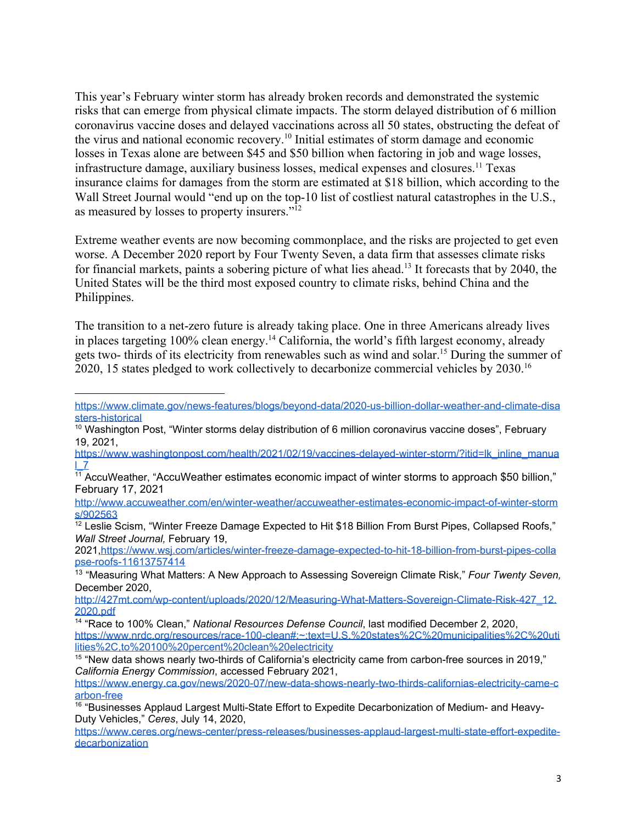This year's February winter storm has already broken records and demonstrated the systemic risks that can emerge from physical climate impacts. The storm delayed distribution of 6 million coronavirus vaccine doses and delayed vaccinations across all 50 states, obstructing the defeat of the virus and national economic recovery.<sup>10</sup> Initial estimates of storm damage and economic losses in Texas alone are between \$45 and \$50 billion when factoring in job and wage losses, infrastructure damage, auxiliary business losses, medical expenses and closures.<sup>11</sup> Texas insurance claims for damages from the storm are estimated at \$18 billion, which according to the Wall Street Journal would "end up on the top-10 list of costliest natural catastrophes in the U.S., as measured by losses to property insurers."<sup>12</sup>

Extreme weather events are now becoming commonplace, and the risks are projected to get even worse. A December 2020 report by Four Twenty Seven, a data firm that assesses climate risks for financial markets, paints a sobering picture of what lies ahead.<sup>13</sup> It forecasts that by 2040, the United States will be the third most exposed country to climate risks, behind China and the Philippines.

The transition to a net-zero future is already taking place. One in three Americans already lives in places targeting 100% clean energy.<sup>14</sup> California, the world's fifth largest economy, already gets two- thirds of its electricity from renewables such as wind and solar.<sup>15</sup> During the summer of 2020, 15 states pledged to work collectively to decarbonize commercial vehicles by 2030.<sup>16</sup>

[https://www.climate.gov/news-features/blogs/beyond-data/2020-us-billion-dollar-weather-and-climate-disa](https://www.climate.gov/news-features/blogs/beyond-data/2020-us-billion-dollar-weather-and-climate-disasters-historical) [sters-historical](https://www.climate.gov/news-features/blogs/beyond-data/2020-us-billion-dollar-weather-and-climate-disasters-historical)

<sup>&</sup>lt;sup>10</sup> Washington Post, "Winter storms delay distribution of 6 million coronavirus vaccine doses", February 19, 2021,

[https://www.washingtonpost.com/health/2021/02/19/vaccines-delayed-winter-storm/?itid=lk\\_inline\\_manua](https://www.washingtonpost.com/health/2021/02/19/vaccines-delayed-winter-storm/?itid=lk_inline_manual_7)  $\vert$  7

 $\overline{11}$  AccuWeather, "AccuWeather estimates economic impact of winter storms to approach \$50 billion," February 17, 2021

[http://www.accuweather.com/en/winter-weather/accuweather-estimates-economic-impact-of-winter-storm](http://www.accuweather.com/en/winter-weather/accuweather-estimates-economic-impact-of-winter-storms/902563) [s/902563](http://www.accuweather.com/en/winter-weather/accuweather-estimates-economic-impact-of-winter-storms/902563)

<sup>&</sup>lt;sup>12</sup> Leslie Scism, "Winter Freeze Damage Expected to Hit \$18 Billion From Burst Pipes, Collapsed Roofs," *Wall Street Journal,* February 19,

<sup>2021</sup>[,https://www.wsj.com/articles/winter-freeze-damage-expected-to-hit-18-billion-from-burst-pipes-colla](https://www.wsj.com/articles/winter-freeze-damage-expected-to-hit-18-billion-from-burst-pipes-collapse-roofs-11613757414) [pse-roofs-11613757414](https://www.wsj.com/articles/winter-freeze-damage-expected-to-hit-18-billion-from-burst-pipes-collapse-roofs-11613757414)

<sup>13</sup> "Measuring What Matters: A New Approach to Assessing Sovereign Climate Risk," *Four Twenty Seven,* December 2020,

[http://427mt.com/wp-content/uploads/2020/12/Measuring-What-Matters-Sovereign-Climate-Risk-427\\_12.](http://427mt.com/wp-content/uploads/2020/12/Measuring-What-Matters-Sovereign-Climate-Risk-427_12.2020.pdf) [2020.pdf](http://427mt.com/wp-content/uploads/2020/12/Measuring-What-Matters-Sovereign-Climate-Risk-427_12.2020.pdf)

<sup>14</sup> "Race to 100% Clean," *National Resources Defense Council*, last modified December 2, 2020, [https://www.nrdc.org/resources/race-100-clean#:~:text=U.S.%20states%2C%20municipalities%2C%20uti](https://www.nrdc.org/resources/race-100-clean#:~:text=U.S.%20states%2C%20municipalities%2C%20utilities%2C,to%20100%20percent%20clean%20electricity) [lities%2C,to%20100%20percent%20clean%20electricity](https://www.nrdc.org/resources/race-100-clean#:~:text=U.S.%20states%2C%20municipalities%2C%20utilities%2C,to%20100%20percent%20clean%20electricity)

<sup>&</sup>lt;sup>15</sup> "New data shows nearly two-thirds of California's electricity came from carbon-free sources in 2019," *California Energy Commission*, accessed February 2021,

[https://www.energy.ca.gov/news/2020-07/new-data-shows-nearly-two-thirds-californias-electricity-came-c](https://www.energy.ca.gov/news/2020-07/new-data-shows-nearly-two-thirds-californias-electricity-came-carbon-free) [arbon-free](https://www.energy.ca.gov/news/2020-07/new-data-shows-nearly-two-thirds-californias-electricity-came-carbon-free)

<sup>&</sup>lt;sup>16</sup> "Businesses Applaud Largest Multi-State Effort to Expedite Decarbonization of Medium- and Heavy-Duty Vehicles," *Ceres*, July 14, 2020,

[https://www.ceres.org/news-center/press-releases/businesses-applaud-largest-multi-state-effort-expedite](https://www.ceres.org/news-center/press-releases/businesses-applaud-largest-multi-state-effort-expedite-decarbonization)[decarbonization](https://www.ceres.org/news-center/press-releases/businesses-applaud-largest-multi-state-effort-expedite-decarbonization)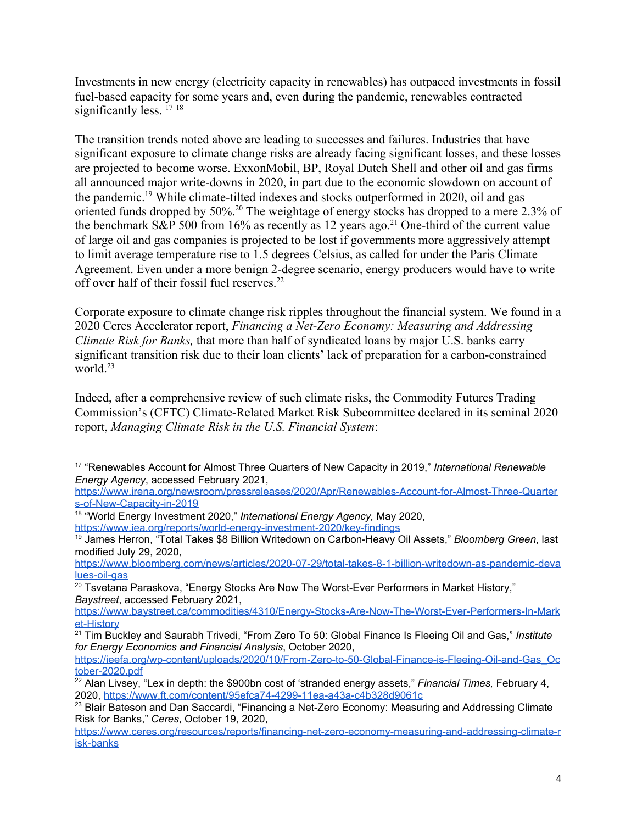Investments in new energy (electricity capacity in renewables) has outpaced investments in fossil fuel-based capacity for some years and, even during the pandemic, renewables contracted significantly less. <sup>17 18</sup>

The transition trends noted above are leading to successes and failures. Industries that have significant exposure to climate change risks are already facing significant losses, and these losses are projected to become worse. ExxonMobil, BP, Royal Dutch Shell and other oil and gas firms all announced major write-downs in 2020, in part due to the economic slowdown on account of the pandemic.<sup>19</sup> While climate-tilted indexes and stocks outperformed in 2020, oil and gas oriented funds dropped by 50%.<sup>20</sup> The weightage of energy stocks has dropped to a mere 2.3% of the benchmark S&P 500 from 16% as recently as 12 years ago.<sup>21</sup> One-third of the current value of large oil and gas companies is projected to be lost if governments more aggressively attempt to limit average temperature rise to 1.5 degrees Celsius, as called for under the Paris Climate Agreement. Even under a more benign 2-degree scenario, energy producers would have to write off over half of their fossil fuel reserves.<sup>22</sup>

Corporate exposure to climate change risk ripples throughout the financial system. We found in a 2020 Ceres Accelerator report, *Financing a Net-Zero Economy: Measuring and Addressing Climate Risk for Banks,* that more than half of syndicated loans by major U.S. banks carry significant transition risk due to their loan clients' lack of preparation for a carbon-constrained world $^{23}$ 

Indeed, after a comprehensive review of such climate risks, the Commodity Futures Trading Commission's (CFTC) Climate-Related Market Risk Subcommittee declared in its seminal 2020 report, *Managing Climate Risk in the U.S. Financial System*:

<sup>17</sup> "Renewables Account for Almost Three Quarters of New Capacity in 2019," *International Renewable Energy Agency*, accessed February 2021,

[https://www.irena.org/newsroom/pressreleases/2020/Apr/Renewables-Account-for-Almost-Three-Quarter](https://www.irena.org/newsroom/pressreleases/2020/Apr/Renewables-Account-for-Almost-Three-Quarters-of-New-Capacity-in-2019) [s-of-New-Capacity-in-2019](https://www.irena.org/newsroom/pressreleases/2020/Apr/Renewables-Account-for-Almost-Three-Quarters-of-New-Capacity-in-2019)

<sup>18</sup> "World Energy Investment 2020," *International Energy Agency,* May 2020, <https://www.iea.org/reports/world-energy-investment-2020/key-findings>

<sup>19</sup> James Herron, "Total Takes \$8 Billion Writedown on Carbon-Heavy Oil Assets," *Bloomberg Green*, last modified July 29, 2020,

[https://www.bloomberg.com/news/articles/2020-07-29/total-takes-8-1-billion-writedown-as-pandemic-deva](https://www.bloomberg.com/news/articles/2020-07-29/total-takes-8-1-billion-writedown-as-pandemic-devalues-oil-gas) [lues-oil-gas](https://www.bloomberg.com/news/articles/2020-07-29/total-takes-8-1-billion-writedown-as-pandemic-devalues-oil-gas)

<sup>&</sup>lt;sup>20</sup> Tsvetana Paraskova, "Energy Stocks Are Now The Worst-Ever Performers in Market History," *Baystreet*, accessed February 2021,

[https://www.baystreet.ca/commodities/4310/Energy-Stocks-Are-Now-The-Worst-Ever-Performers-In-Mark](https://www.baystreet.ca/commodities/4310/Energy-Stocks-Are-Now-The-Worst-Ever-Performers-In-Market-History) [et-History](https://www.baystreet.ca/commodities/4310/Energy-Stocks-Are-Now-The-Worst-Ever-Performers-In-Market-History)

<sup>21</sup> Tim Buckley and Saurabh Trivedi, "From Zero To 50: Global Finance Is Fleeing Oil and Gas," *Institute for Energy Economics and Financial Analysis*, October 2020,

[https://ieefa.org/wp-content/uploads/2020/10/From-Zero-to-50-Global-Finance-is-Fleeing-Oil-and-Gas\\_Oc](https://ieefa.org/wp-content/uploads/2020/10/From-Zero-to-50-Global-Finance-is-Fleeing-Oil-and-Gas_October-2020.pdf) [tober-2020.pdf](https://ieefa.org/wp-content/uploads/2020/10/From-Zero-to-50-Global-Finance-is-Fleeing-Oil-and-Gas_October-2020.pdf)

<sup>22</sup> Alan Livsey, "Lex in depth: the \$900bn cost of 'stranded energy assets," *Financial Times,* February 4, 2020, <https://www.ft.com/content/95efca74-4299-11ea-a43a-c4b328d9061c>

<sup>&</sup>lt;sup>23</sup> Blair Bateson and Dan Saccardi, "Financing a Net-Zero Economy: Measuring and Addressing Climate Risk for Banks," *Ceres*, October 19, 2020,

[https://www.ceres.org/resources/reports/financing-net-zero-economy-measuring-and-addressing-climate-r](https://www.ceres.org/resources/reports/financing-net-zero-economy-measuring-and-addressing-climate-risk-banks) [isk-banks](https://www.ceres.org/resources/reports/financing-net-zero-economy-measuring-and-addressing-climate-risk-banks)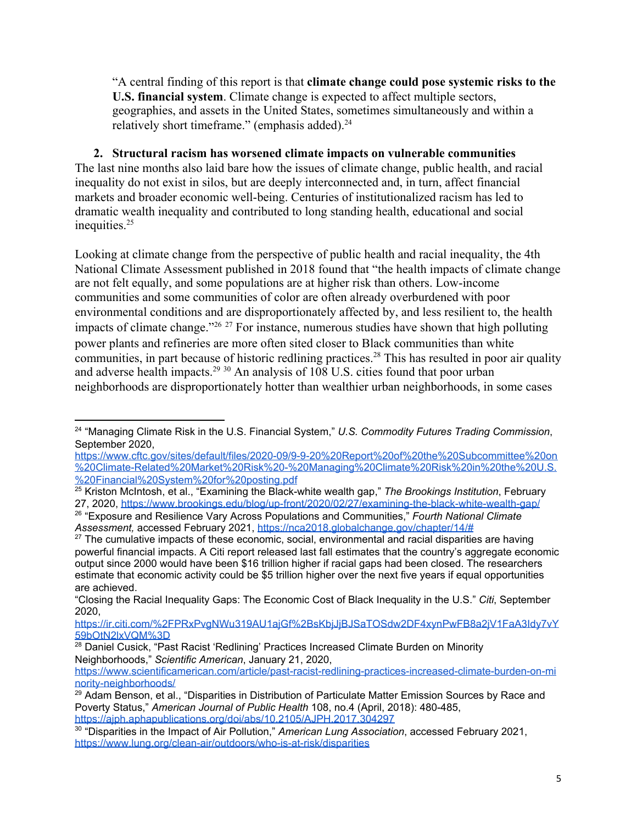"A central finding of this report is that **climate change could pose systemic risks to the U.S. financial system**. Climate change is expected to affect multiple sectors, geographies, and assets in the United States, sometimes simultaneously and within a relatively short timeframe." (emphasis added).<sup>24</sup>

#### **2. Structural racism has worsened climate impacts on vulnerable communities**

The last nine months also laid bare how the issues of climate change, public health, and racial inequality do not exist in silos, but are deeply interconnected and, in turn, affect financial markets and broader economic well-being. Centuries of institutionalized racism has led to dramatic wealth inequality and contributed to long standing health, educational and social inequities.<sup>25</sup>

Looking at climate change from the perspective of public health and racial inequality, the 4th National Climate Assessment published in 2018 found that "the health impacts of climate change are not felt equally, and some populations are at higher risk than others. Low-income communities and some communities of color are often already overburdened with poor environmental conditions and are disproportionately affected by, and less resilient to, the health impacts of climate change."<sup>26</sup><sup>27</sup> For instance, numerous studies have shown that high polluting power plants and refineries are more often sited closer to Black communities than white communities, in part because of historic redlining practices.<sup>28</sup> This has resulted in poor air quality and adverse health impacts.<sup>29 30</sup> An analysis of 108 U.S. cities found that poor urban neighborhoods are disproportionately hotter than wealthier urban neighborhoods, in some cases

<sup>24</sup> "Managing Climate Risk in the U.S. Financial System," *U.S. Commodity Futures Trading Commission*, September 2020,

[https://www.cftc.gov/sites/default/files/2020-09/9-9-20%20Report%20of%20the%20Subcommittee%20on](https://www.cftc.gov/sites/default/files/2020-09/9-9-20%20Report%20of%20the%20Subcommittee%20on%20Climate-Related%20Market%20Risk%20-%20Managing%20Climate%20Risk%20in%20the%20U.S.%20Financial%20System%20for%20posting.pdf) [%20Climate-Related%20Market%20Risk%20-%20Managing%20Climate%20Risk%20in%20the%20U.S.](https://www.cftc.gov/sites/default/files/2020-09/9-9-20%20Report%20of%20the%20Subcommittee%20on%20Climate-Related%20Market%20Risk%20-%20Managing%20Climate%20Risk%20in%20the%20U.S.%20Financial%20System%20for%20posting.pdf) [%20Financial%20System%20for%20posting.pdf](https://www.cftc.gov/sites/default/files/2020-09/9-9-20%20Report%20of%20the%20Subcommittee%20on%20Climate-Related%20Market%20Risk%20-%20Managing%20Climate%20Risk%20in%20the%20U.S.%20Financial%20System%20for%20posting.pdf)

<sup>25</sup> Kriston McIntosh, et al., "Examining the Black-white wealth gap," *The Brookings Institution*, February 27, 2020, <https://www.brookings.edu/blog/up-front/2020/02/27/examining-the-black-white-wealth-gap/>

<sup>26</sup> "Exposure and Resilience Vary Across Populations and Communities," *Fourth National Climate Assessment,* accessed February 2021, <https://nca2018.globalchange.gov/chapter/14/#>

 $27$  The cumulative impacts of these economic, social, environmental and racial disparities are having powerful financial impacts. A Citi report released last fall estimates that the country's aggregate economic output since 2000 would have been \$16 trillion higher if racial gaps had been closed. The researchers estimate that economic activity could be \$5 trillion higher over the next five years if equal opportunities are achieved.

<sup>&</sup>quot;Closing the Racial Inequality Gaps: The Economic Cost of Black Inequality in the U.S." *Citi*, September 2020,

[https://ir.citi.com/%2FPRxPvgNWu319AU1ajGf%2BsKbjJjBJSaTOSdw2DF4xynPwFB8a2jV1FaA3Idy7vY](https://ir.citi.com/%2FPRxPvgNWu319AU1ajGf%2BsKbjJjBJSaTOSdw2DF4xynPwFB8a2jV1FaA3Idy7vY59bOtN2lxVQM%3D) [59bOtN2lxVQM%3D](https://ir.citi.com/%2FPRxPvgNWu319AU1ajGf%2BsKbjJjBJSaTOSdw2DF4xynPwFB8a2jV1FaA3Idy7vY59bOtN2lxVQM%3D)

<sup>&</sup>lt;sup>28</sup> Daniel Cusick, "Past Racist 'Redlining' Practices Increased Climate Burden on Minority Neighborhoods," *Scientific American*, January 21, 2020,

[https://www.scientificamerican.com/article/past-racist-redlining-practices-increased-climate-burden-on-mi](https://www.scientificamerican.com/article/past-racist-redlining-practices-increased-climate-burden-on-minority-neighborhoods/) [nority-neighborhoods/](https://www.scientificamerican.com/article/past-racist-redlining-practices-increased-climate-burden-on-minority-neighborhoods/)

<sup>&</sup>lt;sup>29</sup> Adam Benson, et al., "Disparities in Distribution of Particulate Matter Emission Sources by Race and Poverty Status," *American Journal of Public Health* 108, no.4 (April, 2018): 480-485, <https://ajph.aphapublications.org/doi/abs/10.2105/AJPH.2017.304297>

<sup>30</sup> "Disparities in the Impact of Air Pollution," *American Lung Association*, accessed February 2021, <https://www.lung.org/clean-air/outdoors/who-is-at-risk/disparities>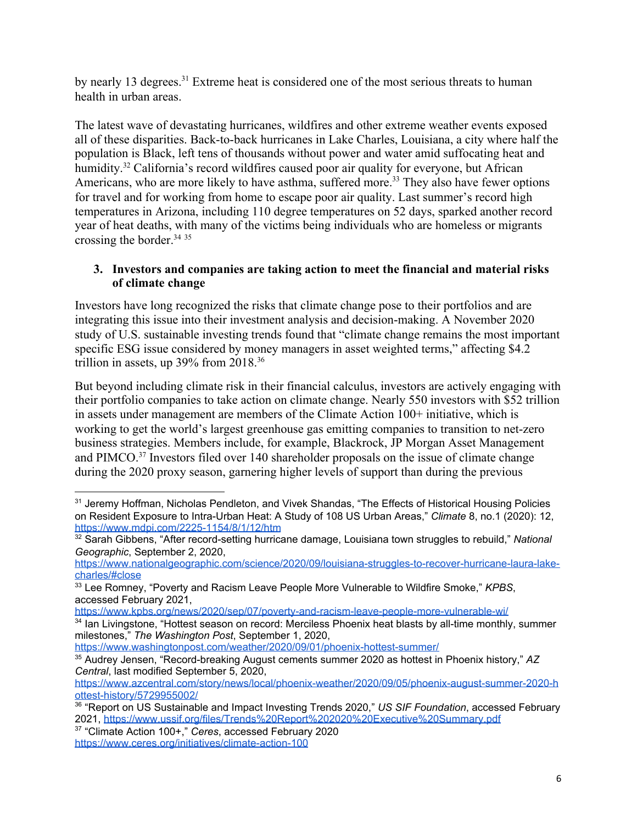by nearly 13 degrees.<sup>31</sup> Extreme heat is considered one of the most serious threats to human health in urban areas.

The latest wave of devastating hurricanes, wildfires and other extreme weather events exposed all of these disparities. Back-to-back hurricanes in Lake Charles, Louisiana, a city where half the population is Black, left tens of thousands without power and water amid suffocating heat and humidity.<sup>32</sup> California's record wildfires caused poor air quality for everyone, but African Americans, who are more likely to have asthma, suffered more.<sup>33</sup> They also have fewer options for travel and for working from home to escape poor air quality. Last summer's record high temperatures in Arizona, including 110 degree temperatures on 52 days, sparked another record year of heat deaths, with many of the victims being individuals who are homeless or migrants crossing the border.<sup>34 35</sup>

## **3. Investors and companies are taking action to meet the financial and material risks of climate change**

Investors have long recognized the risks that climate change pose to their portfolios and are integrating this issue into their investment analysis and decision-making. A November 2020 study of U.S. sustainable investing trends found that "climate change remains the most important specific ESG issue considered by money managers in asset weighted terms," affecting \$4.2 trillion in assets, up  $39\%$  from  $2018$ .<sup>36</sup>

But beyond including climate risk in their financial calculus, investors are actively engaging with their portfolio companies to take action on climate change. Nearly 550 investors with \$52 trillion in assets under management are members of the Climate Action 100+ initiative, which is working to get the world's largest greenhouse gas emitting companies to transition to net-zero business strategies. Members include, for example, Blackrock, JP Morgan Asset Management and PIMCO.<sup>37</sup> Investors filed over 140 shareholder proposals on the issue of climate change during the 2020 proxy season, garnering higher levels of support than during the previous

<https://www.washingtonpost.com/weather/2020/09/01/phoenix-hottest-summer/>

37 "Climate Action 100+," *Ceres*, accessed February 2020 <https://www.ceres.org/initiatives/climate-action-100>

<sup>&</sup>lt;sup>31</sup> Jeremy Hoffman, Nicholas Pendleton, and Vivek Shandas, "The Effects of Historical Housing Policies on Resident Exposure to Intra-Urban Heat: A Study of 108 US Urban Areas," *Climate* 8, no.1 (2020): 12, <https://www.mdpi.com/2225-1154/8/1/12/htm>

<sup>32</sup> Sarah Gibbens, "After record-setting hurricane damage, Louisiana town struggles to rebuild," *National Geographic*, September 2, 2020,

[https://www.nationalgeographic.com/science/2020/09/louisiana-struggles-to-recover-hurricane-laura-lake](https://www.nationalgeographic.com/science/2020/09/louisiana-struggles-to-recover-hurricane-laura-lake-charles/#close)[charles/#close](https://www.nationalgeographic.com/science/2020/09/louisiana-struggles-to-recover-hurricane-laura-lake-charles/#close)

<sup>33</sup> Lee Romney, "Poverty and Racism Leave People More Vulnerable to Wildfire Smoke," *KPBS*, accessed February 2021,

<https://www.kpbs.org/news/2020/sep/07/poverty-and-racism-leave-people-more-vulnerable-wi/>

<sup>&</sup>lt;sup>34</sup> Ian Livingstone, "Hottest season on record: Merciless Phoenix heat blasts by all-time monthly, summer milestones," *The Washington Post*, September 1, 2020,

<sup>35</sup> Audrey Jensen, "Record-breaking August cements summer 2020 as hottest in Phoenix history," *AZ Central*, last modified September 5, 2020,

[https://www.azcentral.com/story/news/local/phoenix-weather/2020/09/05/phoenix-august-summer-2020-h](https://www.azcentral.com/story/news/local/phoenix-weather/2020/09/05/phoenix-august-summer-2020-hottest-history/5729955002/) [ottest-history/5729955002/](https://www.azcentral.com/story/news/local/phoenix-weather/2020/09/05/phoenix-august-summer-2020-hottest-history/5729955002/)

<sup>36</sup> "Report on US Sustainable and Impact Investing Trends 2020," *US SIF Foundation*, accessed February 2021, <https://www.ussif.org/files/Trends%20Report%202020%20Executive%20Summary.pdf>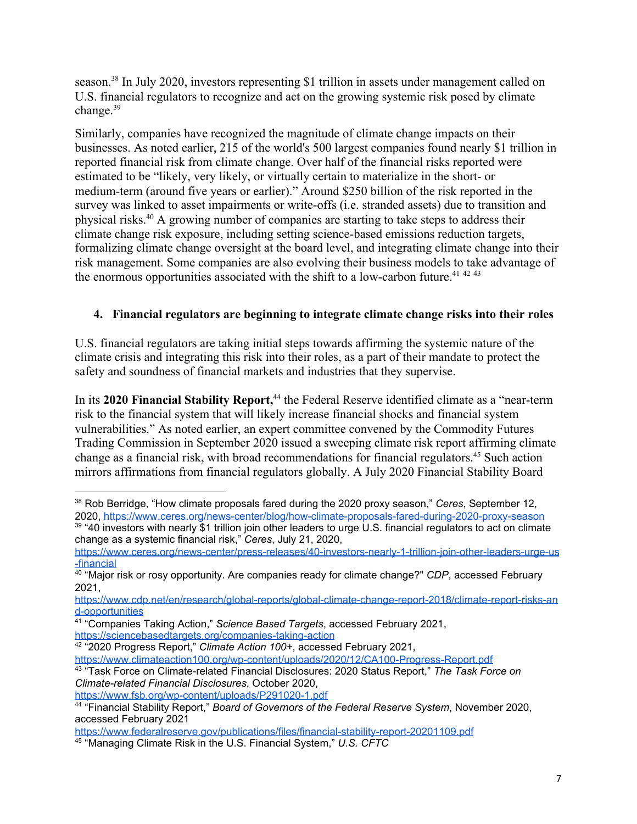season.<sup>38</sup> In July 2020, investors representing \$1 trillion in assets under management called on U.S. financial regulators to recognize and act on the growing systemic risk posed by climate change.<sup>39</sup>

Similarly, companies have recognized the magnitude of climate change impacts on their businesses. As noted earlier, 215 of the world's 500 largest companies found nearly \$1 trillion in reported financial risk from climate change. Over half of the financial risks reported were estimated to be "likely, very likely, or virtually certain to materialize in the short- or medium-term (around five years or earlier)." Around \$250 billion of the risk reported in the survey was linked to asset impairments or write-offs (i.e. stranded assets) due to transition and physical risks.<sup>40</sup> A growing number of companies are starting to take steps to address their climate change risk exposure, including setting science-based emissions reduction targets, formalizing climate change oversight at the board level, and integrating climate change into their risk management. Some companies are also evolving their business models to take advantage of the enormous opportunities associated with the shift to a low-carbon future.<sup>41 42 43</sup>

# **4. Financial regulators are beginning to integrate climate change risks into their roles**

U.S. financial regulators are taking initial steps towards affirming the systemic nature of the climate crisis and integrating this risk into their roles, as a part of their mandate to protect the safety and soundness of financial markets and industries that they supervise.

In its 2020 Financial Stability Report,<sup>44</sup> the Federal Reserve identified climate as a "near-term risk to the financial system that will likely increase financial shocks and financial system vulnerabilities." As noted earlier, an expert committee convened by the Commodity Futures Trading Commission in September 2020 issued a sweeping [climate risk report](https://www.cftc.gov/PressRoom/PressReleases/8234-20) affirming climate change as a financial risk, with broad recommendations for financial regulators.<sup>45</sup> Such action mirrors affirmations from financial regulators globally. A July 2020 Financial Stability Board

<https://www.climateaction100.org/wp-content/uploads/2020/12/CA100-Progress-Report.pdf>

<https://www.fsb.org/wp-content/uploads/P291020-1.pdf>

<sup>38</sup> Rob Berridge, "How climate proposals fared during the 2020 proxy season," *Ceres*, September 12, 2020, <https://www.ceres.org/news-center/blog/how-climate-proposals-fared-during-2020-proxy-season>  $39$  "40 investors with nearly \$1 trillion join other leaders to urge U.S. financial regulators to act on climate change as a systemic financial risk," *Ceres*, July 21, 2020,

[https://www.ceres.org/news-center/press-releases/40-investors-nearly-1-trillion-join-other-leaders-urge-us](https://www.ceres.org/news-center/press-releases/40-investors-nearly-1-trillion-join-other-leaders-urge-us-financial) [-financial](https://www.ceres.org/news-center/press-releases/40-investors-nearly-1-trillion-join-other-leaders-urge-us-financial)

<sup>40</sup> "Major risk or rosy opportunity. Are companies ready for climate change?" *CDP*, accessed February 2021,

[https://www.cdp.net/en/research/global-reports/global-climate-change-report-2018/climate-report-risks-an](https://www.cdp.net/en/research/global-reports/global-climate-change-report-2018/climate-report-risks-and-opportunities) [d-opportunities](https://www.cdp.net/en/research/global-reports/global-climate-change-report-2018/climate-report-risks-and-opportunities)

<sup>41</sup> "Companies Taking Action," *Science Based Targets*, accessed February 2021,

<https://sciencebasedtargets.org/companies-taking-action>

<sup>42</sup> "2020 Progress Report," *Climate Action 100+*, accessed February 2021,

<sup>43</sup> "Task Force on Climate-related Financial Disclosures: 2020 Status Report," *The Task Force on Climate-related Financial Disclosures*, October 2020,

<sup>44</sup> "Financial Stability Report," *Board of Governors of the Federal Reserve System*, November 2020, accessed February 2021

<https://www.federalreserve.gov/publications/files/financial-stability-report-20201109.pdf>

<sup>45</sup> "Managing Climate Risk in the U.S. Financial System," *U.S. CFTC*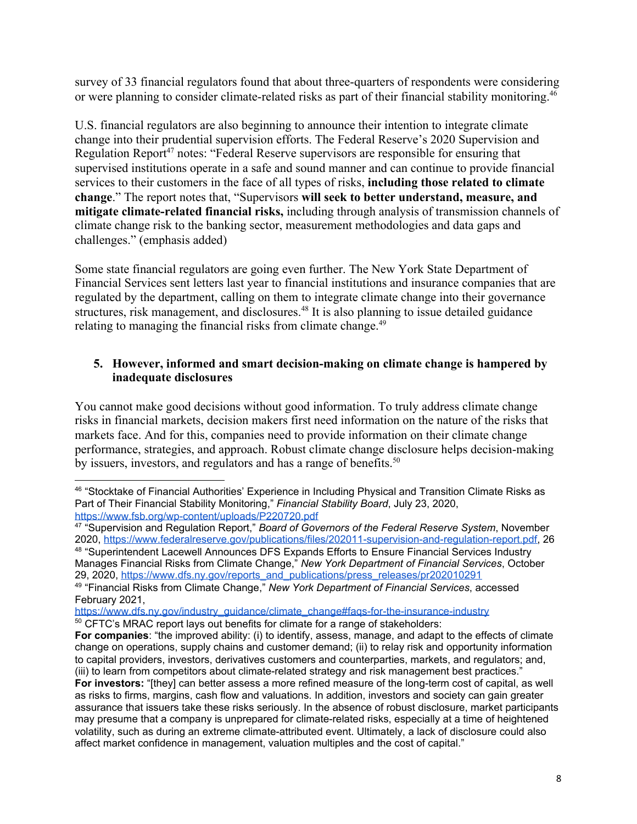survey of 33 financial regulators found that about three-quarters of respondents were considering or were planning to consider climate-related risks as part of their financial stability monitoring.<sup>46</sup>

U.S. financial regulators are also beginning to announce their intention to integrate climate change into their prudential supervision efforts. The Federal Reserve's 2020 Supervision and Regulation Report<sup>47</sup> notes: "Federal Reserve supervisors are responsible for ensuring that supervised institutions operate in a safe and sound manner and can continue to provide financial services to their customers in the face of all types of risks, **including those related to climate change**." The report notes that, "Supervisors **will seek to better understand, measure, and mitigate climate-related financial risks,** including through analysis of transmission channels of climate change risk to the banking sector, measurement methodologies and data gaps and challenges." (emphasis added)

Some state financial regulators are going even further. The New York State Department of Financial Services sent letters last year to financial institutions and insurance companies that are regulated by the department, calling on them to integrate climate change into their governance structures, risk management, and disclosures.<sup>48</sup> It is also planning to issue detailed guidance relating to managing the financial risks from climate change.<sup>49</sup>

## **5. However, informed and smart decision-making on climate change is hampered by inadequate disclosures**

You cannot make good decisions without good information. To truly address climate change risks in financial markets, decision makers first need information on the nature of the risks that markets face. And for this, companies need to provide information on their climate change performance, strategies, and approach. Robust climate change disclosure helps decision-making by issuers, investors, and regulators and has a range of benefits.<sup>50</sup>

https://www.dfs.ny.gov/industry\_guidance/climate\_change#fags-for-the-insurance-industry

<sup>50</sup> CFTC's MRAC report lays out benefits for climate for a range of stakeholders:

 $^{46}$  "Stocktake of Financial Authorities' Experience in Including Physical and Transition Climate Risks as Part of Their Financial Stability Monitoring," *Financial Stability Board*, July 23, 2020, <https://www.fsb.org/wp-content/uploads/P220720.pdf>

<sup>47</sup> "Supervision and Regulation Report," *Board of Governors of the Federal Reserve System*, November 2020, [https://www.federalreserve.gov/publications/files/202011-supervision-and-regulation-report.pdf,](https://www.federalreserve.gov/publications/files/202011-supervision-and-regulation-report.pdf) 26  $^{48}$  "Superintendent Lacewell Announces DFS Expands Efforts to Ensure Financial Services Industry

Manages Financial Risks from Climate Change," *New York Department of Financial Services*, October 29, 2020, [https://www.dfs.ny.gov/reports\\_and\\_publications/press\\_releases/pr202010291](https://www.dfs.ny.gov/reports_and_publications/press_releases/pr202010291)

<sup>49</sup> "Financial Risks from Climate Change," *New York Department of Financial Services*, accessed February 2021,

**For companies**: "the improved ability: (i) to identify, assess, manage, and adapt to the effects of climate change on operations, supply chains and customer demand; (ii) to relay risk and opportunity information to capital providers, investors, derivatives customers and counterparties, markets, and regulators; and, (iii) to learn from competitors about climate-related strategy and risk management best practices." **For investors:** "[they] can better assess a more refined measure of the long-term cost of capital, as well as risks to firms, margins, cash flow and valuations. In addition, investors and society can gain greater assurance that issuers take these risks seriously. In the absence of robust disclosure, market participants may presume that a company is unprepared for climate-related risks, especially at a time of heightened volatility, such as during an extreme climate-attributed event. Ultimately, a lack of disclosure could also affect market confidence in management, valuation multiples and the cost of capital."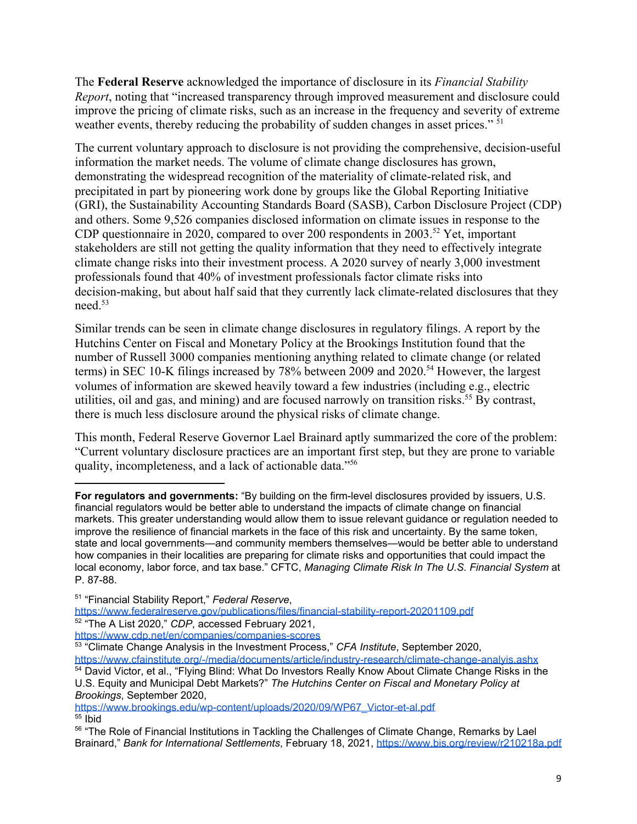The **Federal Reserve** acknowledged the importance of disclosure in its *Financial Stability Report*, noting that "increased transparency through improved measurement and disclosure could improve the pricing of climate risks, such as an increase in the frequency and severity of extreme weather events, thereby reducing the probability of sudden changes in asset prices." <sup>51</sup>

The current voluntary approach to disclosure is not providing the comprehensive, decision-useful information the market needs. The volume of climate change disclosures has grown, demonstrating the widespread recognition of the materiality of climate-related risk, and precipitated in part by pioneering work done by groups like the Global Reporting Initiative (GRI), the Sustainability Accounting Standards Board (SASB), Carbon Disclosure Project (CDP) and others. Some 9,526 companies disclosed information on climate issues in response to the CDP questionnaire in 2020, compared to over 200 respondents in 2003.<sup>52</sup> Yet, important stakeholders are still not getting the quality information that they need to effectively integrate climate change risks into their investment process. A 2020 survey of nearly 3,000 investment professionals found that 40% of investment professionals factor climate risks into decision-making, but about half said that they currently lack climate-related disclosures that they need<sup>53</sup>

Similar trends can be seen in climate change disclosures in regulatory filings. A report by the Hutchins Center on Fiscal and Monetary Policy at the Brookings Institution found that the number of Russell 3000 companies mentioning anything related to climate change (or related terms) in SEC 10-K filings increased by 78% between 2009 and 2020.<sup>54</sup> However, the largest volumes of information are skewed heavily toward a few industries (including e.g., electric utilities, oil and gas, and mining) and are focused narrowly on transition risks.<sup>55</sup> By contrast, there is much less disclosure around the physical risks of climate change.

This month, Federal Reserve Governor Lael Brainard aptly summarized the core of the problem: "Current voluntary disclosure practices are an important first step, but they are prone to variable quality, incompleteness, and a lack of actionable data."<sup>56</sup>

**For regulators and governments:** "By building on the firm-level disclosures provided by issuers, U.S. financial regulators would be better able to understand the impacts of climate change on financial markets. This greater understanding would allow them to issue relevant guidance or regulation needed to improve the resilience of financial markets in the face of this risk and uncertainty. By the same token, state and local governments—and community members themselves—would be better able to understand how companies in their localities are preparing for climate risks and opportunities that could impact the local economy, labor force, and tax base." CFTC, *Managing Climate Risk In The U.S. Financial System* at P. 87-88.

51 "Financial Stability Report," *Federal Reserve*,

<https://www.federalreserve.gov/publications/files/financial-stability-report-20201109.pdf> 52 "The A List 2020," *CDP*, accessed February 2021,

<https://www.cdp.net/en/companies/companies-scores>

53 "Climate Change Analysis in the Investment Process," *CFA Institute*, September 2020, <https://www.cfainstitute.org/-/media/documents/article/industry-research/climate-change-analyis.ashx>

<sup>54</sup> David Victor, et al., "Flying Blind: What Do Investors Really Know About Climate Change Risks in the U.S. Equity and Municipal Debt Markets?" *The Hutchins Center on Fiscal and Monetary Policy at Brookings*, September 2020,

[https://www.brookings.edu/wp-content/uploads/2020/09/WP67\\_Victor-et-al.pdf](https://www.brookings.edu/wp-content/uploads/2020/09/WP67_Victor-et-al.pdf)  $55$  Ibid

 $56$  "The Role of Financial Institutions in Tackling the Challenges of Climate Change, Remarks by Lael Brainard," *Bank for International Settlements*, February 18, 2021, <https://www.bis.org/review/r210218a.pdf>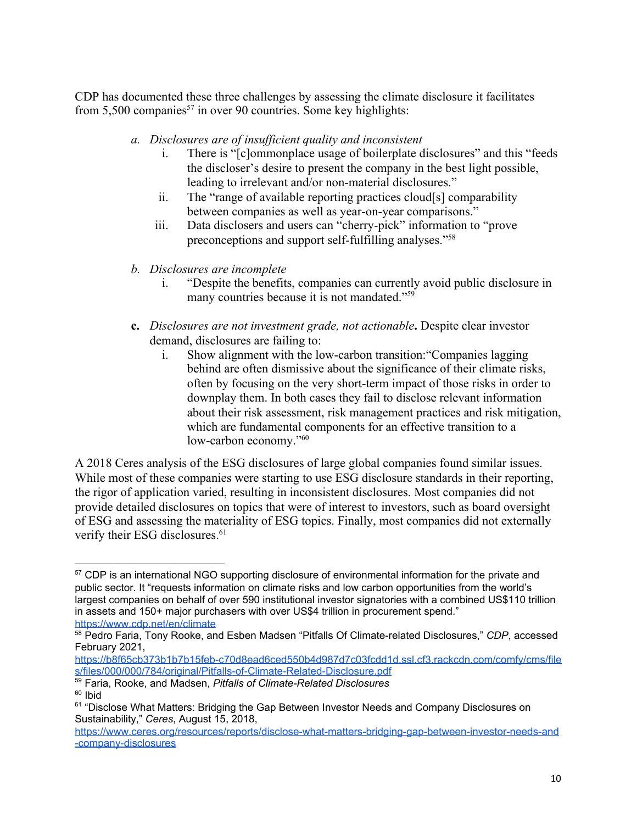CDP has documented these three challenges by assessing the climate disclosure it facilitates from  $5,500$  companies<sup>57</sup> in over 90 countries. Some key highlights:

- *a. Disclosures are of insufficient quality and inconsistent*
	- i. There is "[c]ommonplace usage of boilerplate disclosures" and this "feeds the discloser's desire to present the company in the best light possible, leading to irrelevant and/or non-material disclosures."
	- ii. The "range of available reporting practices cloud[s] comparability between companies as well as year-on-year comparisons."
	- iii. Data disclosers and users can "cherry-pick" information to "prove preconceptions and support self-fulfilling analyses."<sup>58</sup>
- *b. Disclosures are incomplete*
	- i. "Despite the benefits, companies can currently avoid public disclosure in many countries because it is not mandated."<sup>59</sup>
- **c.** *Disclosures are not investment grade, not actionable***.** Despite clear investor demand, disclosures are failing to:
	- i. Show alignment with the low-carbon transition:"Companies lagging behind are often dismissive about the significance of their climate risks, often by focusing on the very short-term impact of those risks in order to downplay them. In both cases they fail to disclose relevant information about their risk assessment, risk management practices and risk mitigation, which are fundamental components for an effective transition to a low-carbon economy."<sup>60</sup>

A 2018 Ceres analysis of the ESG disclosures of large global companies found similar issues. While most of these companies were starting to use ESG disclosure standards in their reporting, the rigor of application varied, resulting in inconsistent disclosures. Most companies did not provide detailed disclosures on topics that were of interest to investors, such as board oversight of ESG and assessing the materiality of ESG topics. Finally, most companies did not externally verify their ESG disclosures.<sup>61</sup>

[https://b8f65cb373b1b7b15feb-c70d8ead6ced550b4d987d7c03fcdd1d.ssl.cf3.rackcdn.com/comfy/cms/file](https://b8f65cb373b1b7b15feb-c70d8ead6ced550b4d987d7c03fcdd1d.ssl.cf3.rackcdn.com/comfy/cms/files/files/000/000/784/original/Pitfalls-of-Climate-Related-Disclosure.pdf) [s/files/000/000/784/original/Pitfalls-of-Climate-Related-Disclosure.pdf](https://b8f65cb373b1b7b15feb-c70d8ead6ced550b4d987d7c03fcdd1d.ssl.cf3.rackcdn.com/comfy/cms/files/files/000/000/784/original/Pitfalls-of-Climate-Related-Disclosure.pdf)

<sup>59</sup> Faria, Rooke, and Madsen, *Pitfalls of Climate-Related Disclosures*  $60$  Ibid

<sup>57</sup> CDP is an international NGO supporting disclosure of environmental information for the private and public sector. It "requests information on climate risks and low carbon opportunities from the world's largest companies on behalf of over 590 institutional investor signatories with a combined US\$110 trillion in assets and 150+ major purchasers with over US\$4 trillion in procurement spend." <https://www.cdp.net/en/climate>

<sup>58</sup> Pedro Faria, Tony Rooke, and Esben Madsen "Pitfalls Of Climate-related Disclosures," *CDP*, accessed February 2021,

<sup>61 &</sup>quot;Disclose What Matters: Bridging the Gap Between Investor Needs and Company Disclosures on Sustainability," *Ceres*, August 15, 2018,

[https://www.ceres.org/resources/reports/disclose-what-matters-bridging-gap-between-investor-needs-and](https://www.ceres.org/resources/reports/disclose-what-matters-bridging-gap-between-investor-needs-and-company-disclosures) [-company-disclosures](https://www.ceres.org/resources/reports/disclose-what-matters-bridging-gap-between-investor-needs-and-company-disclosures)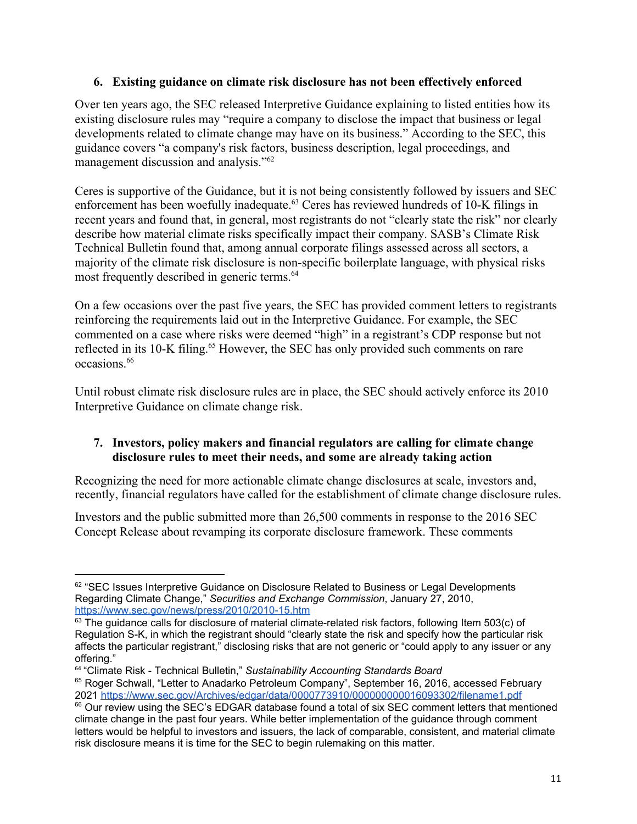#### **6. Existing guidance on climate risk disclosure has not been effectively enforced**

Over ten years ago, the SEC released Interpretive Guidance explaining to listed entities how its existing disclosure rules may "require a company to disclose the impact that business or legal developments related to climate change may have on its business." According to the SEC, this guidance covers "a company's risk factors, business description, legal proceedings, and management discussion and analysis."<sup>62</sup>

Ceres is supportive of the Guidance, but it is not being consistently followed by issuers and SEC enforcement has been woefully inadequate.<sup>63</sup> Ceres has reviewed hundreds of 10-K filings in recent years and found that, in general, most registrants do not "clearly state the risk" nor clearly describe how material climate risks specifically impact their company. SASB's Climate Risk Technical Bulletin found that, among annual corporate filings assessed across all sectors, a majority of the climate risk disclosure is non-specific boilerplate language, with physical risks most frequently described in generic terms.<sup>64</sup>

On a few occasions over the past five years, the SEC has provided comment letters to registrants reinforcing the requirements laid out in the Interpretive Guidance. For example, the SEC commented on a case where risks were deemed "high" in a registrant's CDP response but not reflected in its 10-K filing.<sup>65</sup> However, the SEC has only provided such comments on rare occasions.<sup>66</sup>

Until robust climate risk disclosure rules are in place, the SEC should actively enforce its 2010 Interpretive Guidance on climate change risk.

## **7. Investors, policy makers and financial regulators are calling for climate change disclosure rules to meet their needs, and some are already taking action**

Recognizing the need for more actionable climate change disclosures at scale, investors and, recently, financial regulators have called for the establishment of climate change disclosure rules.

Investors and the public submitted more than 26,500 comments in response to the 2016 SEC Concept Release about revamping its corporate disclosure framework. These comments

 $e^{32}$  "SEC Issues Interpretive Guidance on Disclosure Related to Business or Legal Developments Regarding Climate Change," *Securities and Exchange Commission*, January 27, 2010, <https://www.sec.gov/news/press/2010/2010-15.htm>

 $63$  The guidance calls for disclosure of material climate-related risk factors, following Item 503(c) of Regulation S-K, in which the registrant should "clearly state the risk and specify how the particular risk affects the particular registrant," disclosing risks that are not generic or "could apply to any issuer or any offering."

<sup>64</sup> "Climate Risk - Technical Bulletin," *Sustainability Accounting Standards Board*

<sup>&</sup>lt;sup>65</sup> Roger Schwall, "Letter to Anadarko Petroleum Company", September 16, 2016, accessed February 2021 <https://www.sec.gov/Archives/edgar/data/0000773910/000000000016093302/filename1.pdf>

<sup>&</sup>lt;sup>66</sup> Our review using the SEC's EDGAR database found a total of six SEC comment letters that mentioned climate change in the past four years. While better implementation of the guidance through comment letters would be helpful to investors and issuers, the lack of comparable, consistent, and material climate risk disclosure means it is time for the SEC to begin rulemaking on this matter.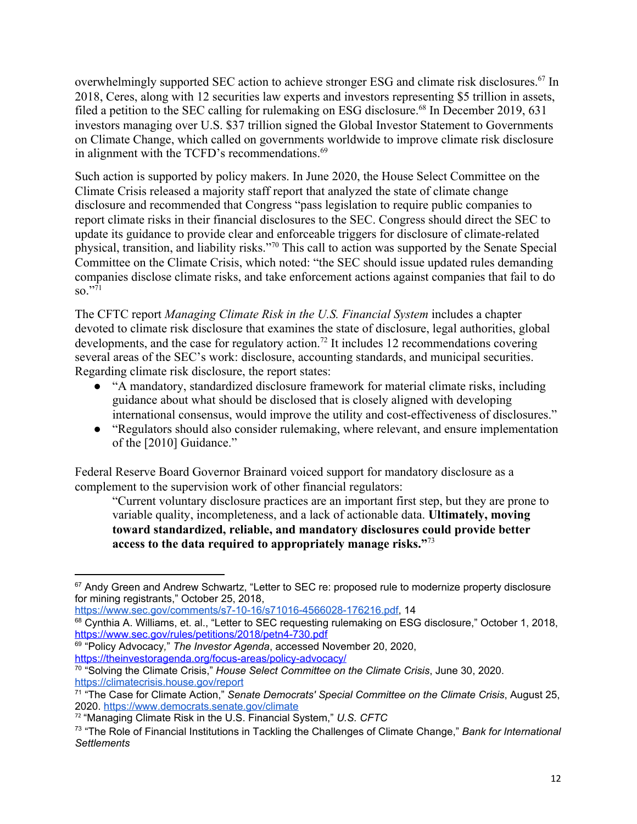overwhelmingly supported SEC action to achieve stronger ESG and climate risk disclosures.<sup>67</sup> In 2018, Ceres, along with 12 securities law experts and investors representing \$5 trillion in assets, filed a petition to the SEC calling for rulemaking on ESG disclosure.<sup>68</sup> In December 2019, 631 investors managing over U.S. \$37 trillion signed the Global Investor Statement to Governments on Climate Change, which called on governments worldwide to improve climate risk disclosure in alignment with the TCFD's recommendations.<sup>69</sup>

Such action is supported by policy makers. In June 2020, the House Select Committee on the Climate Crisis released a majority staff report that analyzed the state of climate change disclosure and recommended that Congress "pass legislation to require public companies to report climate risks in their financial disclosures to the SEC. Congress should direct the SEC to update its guidance to provide clear and enforceable triggers for disclosure of climate-related physical, transition, and liability risks."<sup>70</sup> This call to action was supported by the Senate Special Committee on the Climate Crisis, which noted: "the SEC should issue updated rules demanding companies disclose climate risks, and take enforcement actions against companies that fail to do  $\mathrm{SO}$ ."71

The CFTC report *Managing Climate Risk in the U.S. Financial System* includes a chapter devoted to climate risk disclosure that examines the state of disclosure, legal authorities, global developments, and the case for regulatory action.<sup>72</sup> It includes 12 recommendations covering several areas of the SEC's work: disclosure, accounting standards, and municipal securities. Regarding climate risk disclosure, the report states:

- "A mandatory, standardized disclosure framework for material climate risks, including guidance about what should be disclosed that is closely aligned with developing international consensus, would improve the utility and cost-effectiveness of disclosures."
- "Regulators should also consider rulemaking, where relevant, and ensure implementation of the [2010] Guidance."

Federal Reserve Board Governor Brainard voiced support for mandatory disclosure as a complement to the supervision work of other financial regulators:

"Current voluntary disclosure practices are an important first step, but they are prone to variable quality, incompleteness, and a lack of actionable data. **Ultimately, moving toward standardized, reliable, and mandatory disclosures could provide better access to the data required to appropriately manage risks."**<sup>73</sup>

<sup>&</sup>lt;sup>67</sup> Andy Green and Andrew Schwartz, "Letter to SEC re: proposed rule to modernize property disclosure for mining registrants," October 25, 2018,

<https://www.sec.gov/comments/s7-10-16/s71016-4566028-176216.pdf>, 14

<sup>&</sup>lt;sup>68</sup> Cynthia A. Williams, et. al., "Letter to SEC requesting rulemaking on ESG disclosure," October 1, 2018, <https://www.sec.gov/rules/petitions/2018/petn4-730.pdf>

<sup>69</sup> "Policy Advocacy*,*" *The Investor Agenda*, accessed November 20, 2020, <https://theinvestoragenda.org/focus-areas/policy-advocacy/>

<sup>70</sup> "Solving the Climate Crisis," *House Select Committee on the Climate Crisis*, June 30, 2020. <https://climatecrisis.house.gov/report>

<sup>71</sup> "The Case for Climate Action," *Senate Democrats' Special Committee on the Climate Crisis*, August 25, 2020. <https://www.democrats.senate.gov/climate>

<sup>72</sup> "Managing Climate Risk in the U.S. Financial System," *U.S. CFTC*

<sup>73</sup> "The Role of Financial Institutions in Tackling the Challenges of Climate Change," *Bank for International Settlements*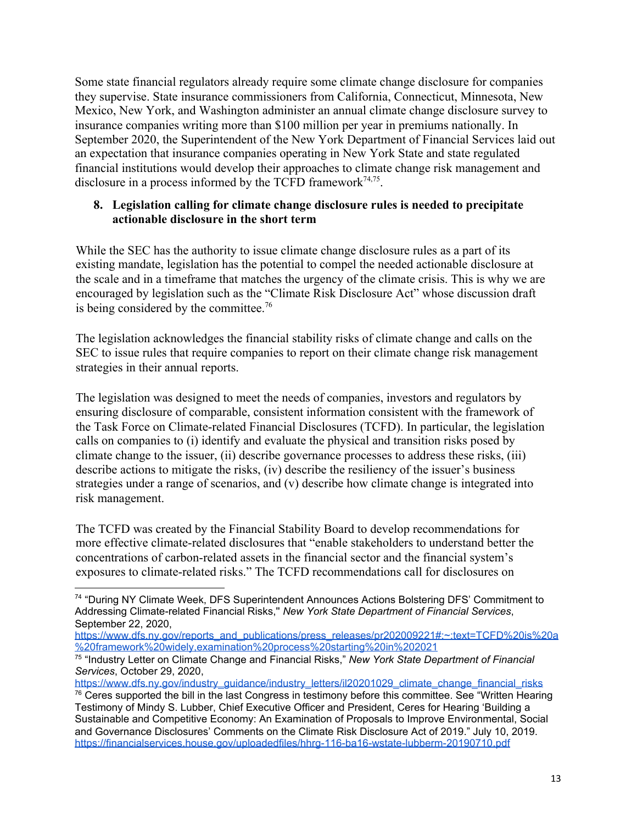Some state financial regulators already require some climate change disclosure for companies they supervise. State insurance commissioners from California, Connecticut, Minnesota, New Mexico, New York, and Washington administer an annual climate change disclosure survey to insurance companies writing more than \$100 million per year in premiums nationally. In September 2020, the Superintendent of the New York Department of Financial Services laid out an expectation that insurance companies operating in New York State and state regulated financial institutions would develop their approaches to climate change risk management and disclosure in a process informed by the TCFD framework $74.75$ .

#### **8. Legislation calling for climate change disclosure rules is needed to precipitate actionable disclosure in the short term**

While the SEC has the authority to issue climate change disclosure rules as a part of its existing mandate, legislation has the potential to compel the needed actionable disclosure at the scale and in a timeframe that matches the urgency of the climate crisis. This is why we are encouraged by legislation such as the "Climate Risk Disclosure Act" whose discussion draft is being considered by the committee.<sup>76</sup>

The legislation acknowledges the financial stability risks of climate change and calls on the SEC to issue rules that require companies to report on their climate change risk management strategies in their annual reports.

The legislation was designed to meet the needs of companies, investors and regulators by ensuring disclosure of comparable, consistent information consistent with the framework of the Task Force on Climate-related Financial Disclosures (TCFD). In particular, the legislation calls on companies to (i) identify and evaluate the physical and transition risks posed by climate change to the issuer, (ii) describe governance processes to address these risks, (iii) describe actions to mitigate the risks, (iv) describe the resiliency of the issuer's business strategies under a range of scenarios, and (v) describe how climate change is integrated into risk management.

The TCFD was created by the Financial Stability Board to develop recommendations for more effective climate-related disclosures that "enable stakeholders to understand better the concentrations of carbon-related assets in the financial sector and the financial system's exposures to climate-related risks." The TCFD recommendations call for disclosures on

<sup>74</sup> "During NY Climate Week, DFS Superintendent Announces Actions Bolstering DFS' Commitment to Addressing Climate-related Financial Risks,'' *New York State Department of Financial Services*, September 22, 2020,

[https://www.dfs.ny.gov/reports\\_and\\_publications/press\\_releases/pr202009221#:~:text=TCFD%20is%20a](https://www.dfs.ny.gov/reports_and_publications/press_releases/pr202009221#:~:text=TCFD%20is%20a%20framework%20widely,examination%20process%20starting%20in%202021) [%20framework%20widely,examination%20process%20starting%20in%202021](https://www.dfs.ny.gov/reports_and_publications/press_releases/pr202009221#:~:text=TCFD%20is%20a%20framework%20widely,examination%20process%20starting%20in%202021)

<sup>75</sup> "Industry Letter on Climate Change and Financial Risks," *New York State Department of Financial Services*, October 29, 2020,

[https://www.dfs.ny.gov/industry\\_guidance/industry\\_letters/il20201029\\_climate\\_change\\_financial\\_risks](https://www.dfs.ny.gov/industry_guidance/industry_letters/il20201029_climate_change_financial_risks)  $76$  Ceres supported the bill in the last Congress in testimony before this committee. See "Written Hearing" Testimony of Mindy S. Lubber, Chief Executive Officer and President, Ceres for Hearing 'Building a Sustainable and Competitive Economy: An Examination of Proposals to Improve Environmental, Social and Governance Disclosures' Comments on the Climate Risk Disclosure Act of 2019." July 10, 2019. <https://financialservices.house.gov/uploadedfiles/hhrg-116-ba16-wstate-lubberm-20190710.pdf>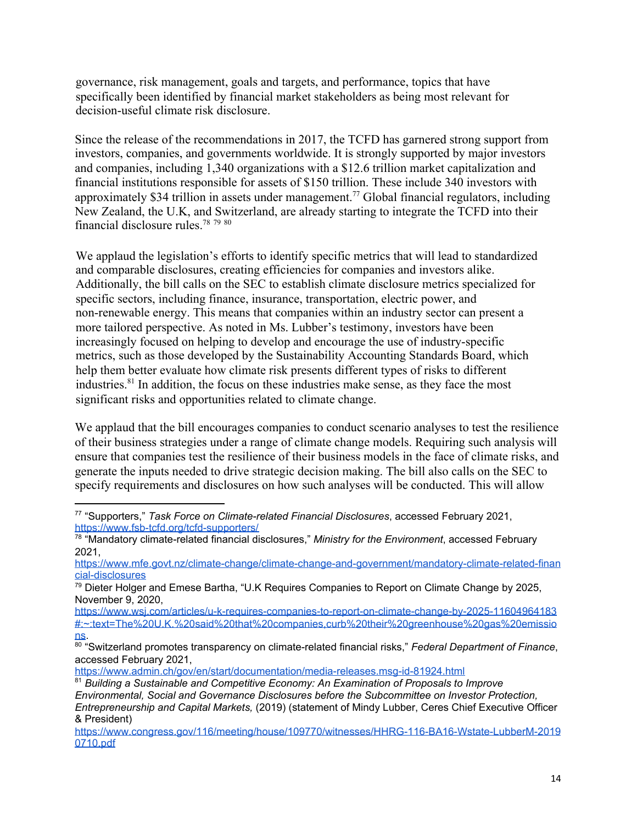governance, risk management, goals and targets, and performance, topics that have specifically been identified by financial market stakeholders as being most relevant for decision-useful climate risk disclosure.

Since the release of the recommendations in 2017, the TCFD has garnered strong support from investors, companies, and governments worldwide. It is strongly supported by major investors and companies, including 1,340 organizations with a \$12.6 trillion market capitalization and financial institutions responsible for assets of \$150 trillion. These include 340 investors with approximately \$34 trillion in assets under management.<sup>77</sup> Global financial regulators, including New Zealand, the U.K, and Switzerland, are already starting to integrate the TCFD into their financial disclosure rules.<sup>78</sup> <sup>79</sup> <sup>80</sup>

We applaud the legislation's efforts to identify specific metrics that will lead to standardized and comparable disclosures, creating efficiencies for companies and investors alike. Additionally, the bill calls on the SEC to establish climate disclosure metrics specialized for specific sectors, including finance, insurance, transportation, electric power, and non-renewable energy. This means that companies within an industry sector can present a more tailored perspective. As noted in Ms. Lubber's testimony, investors have been increasingly focused on helping to develop and encourage the use of industry-specific metrics, such as those developed by the Sustainability Accounting Standards Board, which help them better evaluate how climate risk presents different types of risks to different industries.<sup>81</sup> In addition, the focus on these industries make sense, as they face the most significant risks and opportunities related to climate change.

We applaud that the bill encourages companies to conduct scenario analyses to test the resilience of their business strategies under a range of climate change models. Requiring such analysis will ensure that companies test the resilience of their business models in the face of climate risks, and generate the inputs needed to drive strategic decision making. The bill also calls on the SEC to specify requirements and disclosures on how such analyses will be conducted. This will allow

<sup>77</sup> "Supporters," *Task Force on Climate-related Financial Disclosures*, accessed February 2021, <https://www.fsb-tcfd.org/tcfd-supporters/>

<sup>78</sup> "Mandatory climate-related financial disclosures," *Ministry for the Environment*, accessed February 2021,

[https://www.mfe.govt.nz/climate-change/climate-change-and-government/mandatory-climate-related-finan](https://www.mfe.govt.nz/climate-change/climate-change-and-government/mandatory-climate-related-financial-disclosures) [cial-disclosures](https://www.mfe.govt.nz/climate-change/climate-change-and-government/mandatory-climate-related-financial-disclosures)

<sup>&</sup>lt;sup>79</sup> Dieter Holger and Emese Bartha, "U.K Requires Companies to Report on Climate Change by 2025, November 9, 2020,

[https://www.wsj.com/articles/u-k-requires-companies-to-report-on-climate-change-by-2025-11604964183](https://www.wsj.com/articles/u-k-requires-companies-to-report-on-climate-change-by-2025-11604964183#:~:text=The%20U.K.%20said%20that%20companies,curb%20their%20greenhouse%20gas%20emissions) [#:~:text=The%20U.K.%20said%20that%20companies,curb%20their%20greenhouse%20gas%20emissio](https://www.wsj.com/articles/u-k-requires-companies-to-report-on-climate-change-by-2025-11604964183#:~:text=The%20U.K.%20said%20that%20companies,curb%20their%20greenhouse%20gas%20emissions) [ns](https://www.wsj.com/articles/u-k-requires-companies-to-report-on-climate-change-by-2025-11604964183#:~:text=The%20U.K.%20said%20that%20companies,curb%20their%20greenhouse%20gas%20emissions).

<sup>80</sup> "Switzerland promotes transparency on climate-related financial risks," *Federal Department of Finance*, accessed February 2021,

<https://www.admin.ch/gov/en/start/documentation/media-releases.msg-id-81924.html>

<sup>81</sup> *Building a Sustainable and Competitive Economy: An Examination of Proposals to Improve Environmental, Social and Governance Disclosures before the Subcommittee on Investor Protection, Entrepreneurship and Capital Markets,* (2019) (statement of Mindy Lubber, Ceres Chief Executive Officer & President)

[https://www.congress.gov/116/meeting/house/109770/witnesses/HHRG-116-BA16-Wstate-LubberM-2019](https://www.congress.gov/116/meeting/house/109770/witnesses/HHRG-116-BA16-Wstate-LubberM-20190710.pdf) [0710.pdf](https://www.congress.gov/116/meeting/house/109770/witnesses/HHRG-116-BA16-Wstate-LubberM-20190710.pdf)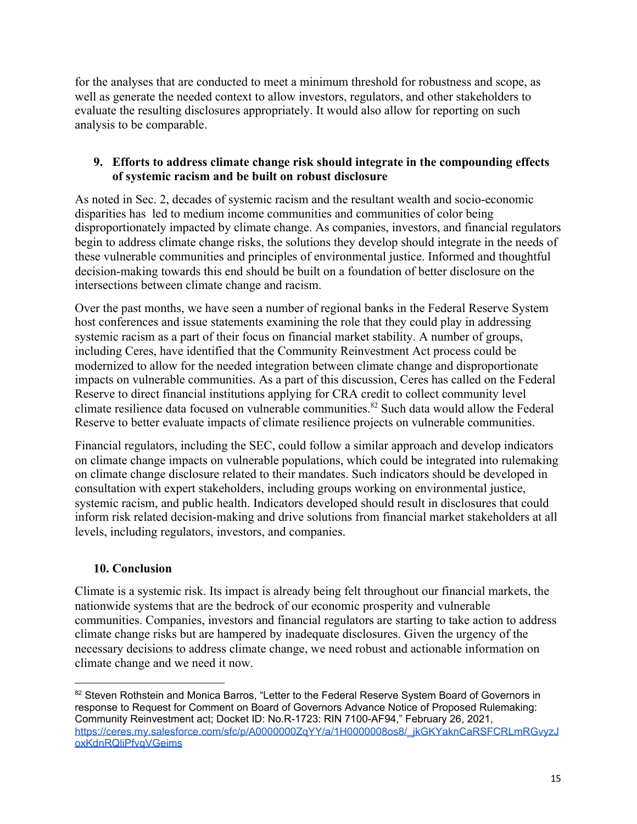for the analyses that are conducted to meet a minimum threshold for robustness and scope, as well as generate the needed context to allow investors, regulators, and other stakeholders to evaluate the resulting disclosures appropriately. It would also allow for reporting on such analysis to be comparable.

#### **9. Efforts to address climate change risk should integrate in the compounding effects of systemic racism and be built on robust disclosure**

As noted in Sec. 2, decades of systemic racism and the resultant wealth and socio-economic disparities has led to medium income communities and communities of color being disproportionately impacted by climate change. As companies, investors, and financial regulators begin to address climate change risks, the solutions they develop should integrate in the needs of these vulnerable communities and principles of environmental justice. Informed and thoughtful decision-making towards this end should be built on a foundation of better disclosure on the intersections between climate change and racism.

Over the past months, we have seen a number of regional banks in the Federal Reserve System host conferences and issue statements examining the role that they could play in addressing systemic racism as a part of their focus on financial market stability. A number of groups, including Ceres, have identified that the Community Reinvestment Act process could be modernized to allow for the needed integration between climate change and disproportionate impacts on vulnerable communities. As a part of this discussion, Ceres has called on the Federal Reserve to direct financial institutions applying for CRA credit to collect community level climate resilience data focused on vulnerable communities.<sup>82</sup> Such data would allow the Federal Reserve to better evaluate impacts of climate resilience projects on vulnerable communities.

Financial regulators, including the SEC, could follow a similar approach and develop indicators on climate change impacts on vulnerable populations, which could be integrated into rulemaking on climate change disclosure related to their mandates. Such indicators should be developed in consultation with expert stakeholders, including groups working on environmental justice, systemic racism, and public health. Indicators developed should result in disclosures that could inform risk related decision-making and drive solutions from financial market stakeholders at all levels, including regulators, investors, and companies.

# **10. Conclusion**

Climate is a systemic risk. Its impact is already being felt throughout our financial markets, the nationwide systems that are the bedrock of our economic prosperity and vulnerable communities. Companies, investors and financial regulators are starting to take action to address climate change risks but are hampered by inadequate disclosures. Given the urgency of the necessary decisions to address climate change, we need robust and actionable information on climate change and we need it now.

<sup>82</sup> Steven Rothstein and Monica Barros, "Letter to the Federal Reserve System Board of Governors in response to Request for Comment on Board of Governors Advance Notice of Proposed Rulemaking: Community Reinvestment act; Docket ID: No.R-1723: RIN 7100-AF94," February 26, 2021, [https://ceres.my.salesforce.com/sfc/p/A0000000ZqYY/a/1H0000008os8/\\_jkGKYaknCaRSFCRLmRGvyzJ](https://ceres.my.salesforce.com/sfc/p/A0000000ZqYY/a/1H0000008os8/_jkGKYaknCaRSFCRLmRGvyzJoxKdnRQliPfvqVGeims) [oxKdnRQliPfvqVGeims](https://ceres.my.salesforce.com/sfc/p/A0000000ZqYY/a/1H0000008os8/_jkGKYaknCaRSFCRLmRGvyzJoxKdnRQliPfvqVGeims)